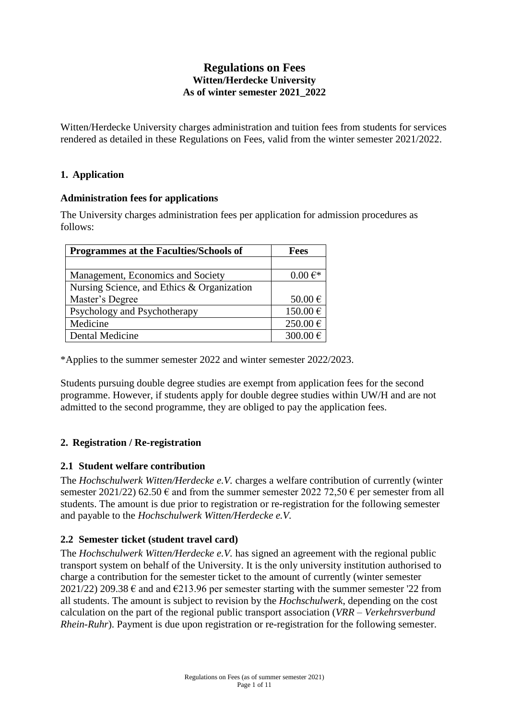# **Regulations on Fees Witten/Herdecke University As of winter semester 2021\_2022**

Witten/Herdecke University charges administration and tuition fees from students for services rendered as detailed in these Regulations on Fees, valid from the winter semester 2021/2022.

## **1. Application**

## **Administration fees for applications**

The University charges administration fees per application for admission procedures as follows:

| <b>Programmes at the Faculties/Schools of</b> | Fees                 |
|-----------------------------------------------|----------------------|
|                                               |                      |
| Management, Economics and Society             | $0.00 \, \epsilon^*$ |
| Nursing Science, and Ethics & Organization    |                      |
| Master's Degree                               | 50.00 €              |
| Psychology and Psychotherapy                  | 150.00€              |
| Medicine                                      | 250.00€              |
| Dental Medicine                               | 300.00 €             |

\*Applies to the summer semester 2022 and winter semester 2022/2023.

Students pursuing double degree studies are exempt from application fees for the second programme. However, if students apply for double degree studies within UW/H and are not admitted to the second programme, they are obliged to pay the application fees.

# **2. Registration / Re-registration**

# **2.1 Student welfare contribution**

The *Hochschulwerk Witten/Herdecke e.V.* charges a welfare contribution of currently (winter semester 2021/22) 62.50  $\epsilon$  and from the summer semester 2022 72,50  $\epsilon$  per semester from all students. The amount is due prior to registration or re-registration for the following semester and payable to the *Hochschulwerk Witten/Herdecke e.V.*

# **2.2 Semester ticket (student travel card)**

The *Hochschulwerk Witten/Herdecke e.V.* has signed an agreement with the regional public transport system on behalf of the University. It is the only university institution authorised to charge a contribution for the semester ticket to the amount of currently (winter semester 2021/22) 209.38  $\epsilon$  and and  $\epsilon$ 213.96 per semester starting with the summer semester '22 from all students. The amount is subject to revision by the *Hochschulwerk*, depending on the cost calculation on the part of the regional public transport association (*VRR – Verkehrsverbund Rhein-Ruhr*). Payment is due upon registration or re-registration for the following semester.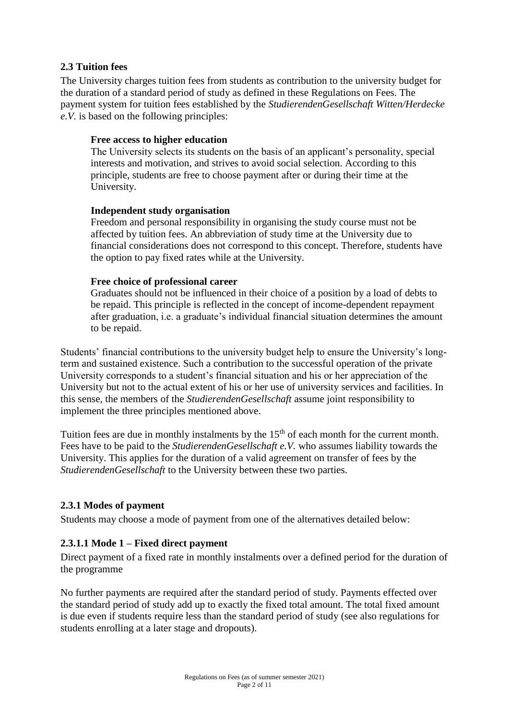# **2.3 Tuition fees**

The University charges tuition fees from students as contribution to the university budget for the duration of a standard period of study as defined in these Regulations on Fees. The payment system for tuition fees established by the *StudierendenGesellschaft Witten/Herdecke e.V.* is based on the following principles:

#### **Free access to higher education**

The University selects its students on the basis of an applicant's personality, special interests and motivation, and strives to avoid social selection. According to this principle, students are free to choose payment after or during their time at the University.

#### **Independent study organisation**

Freedom and personal responsibility in organising the study course must not be affected by tuition fees. An abbreviation of study time at the University due to financial considerations does not correspond to this concept. Therefore, students have the option to pay fixed rates while at the University.

#### **Free choice of professional career**

Graduates should not be influenced in their choice of a position by a load of debts to be repaid. This principle is reflected in the concept of income-dependent repayment after graduation, i.e. a graduate's individual financial situation determines the amount to be repaid.

Students' financial contributions to the university budget help to ensure the University's longterm and sustained existence. Such a contribution to the successful operation of the private University corresponds to a student's financial situation and his or her appreciation of the University but not to the actual extent of his or her use of university services and facilities. In this sense, the members of the *StudierendenGesellschaft* assume joint responsibility to implement the three principles mentioned above.

Tuition fees are due in monthly instalments by the 15<sup>th</sup> of each month for the current month. Fees have to be paid to the *StudierendenGesellschaft e.V.* who assumes liability towards the University. This applies for the duration of a valid agreement on transfer of fees by the *StudierendenGesellschaft* to the University between these two parties.

#### **2.3.1 Modes of payment**

Students may choose a mode of payment from one of the alternatives detailed below:

#### **2.3.1.1 Mode 1 – Fixed direct payment**

Direct payment of a fixed rate in monthly instalments over a defined period for the duration of the programme

No further payments are required after the standard period of study. Payments effected over the standard period of study add up to exactly the fixed total amount. The total fixed amount is due even if students require less than the standard period of study (see also regulations for students enrolling at a later stage and dropouts).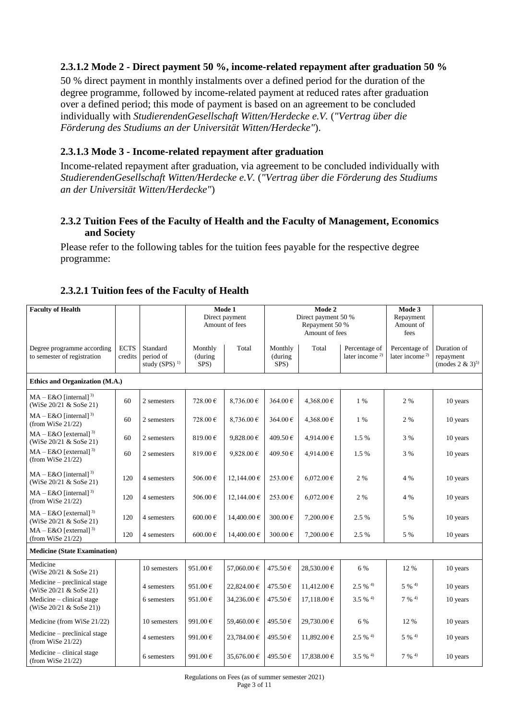## **2.3.1.2 Mode 2 - Direct payment 50 %, income-related repayment after graduation 50 %**

50 % direct payment in monthly instalments over a defined period for the duration of the degree programme, followed by income-related payment at reduced rates after graduation over a defined period; this mode of payment is based on an agreement to be concluded individually with *StudierendenGesellschaft Witten/Herdecke e.V.* (*"Vertrag über die Förderung des Studiums an der Universität Witten/Herdecke"*).

## **2.3.1.3 Mode 3 - Income-related repayment after graduation**

Income-related repayment after graduation, via agreement to be concluded individually with *StudierendenGesellschaft Witten/Herdecke e.V.* (*"Vertrag über die Förderung des Studiums an der Universität Witten/Herdecke"*)

## **2.3.2 Tuition Fees of the Faculty of Health and the Faculty of Management, Economics and Society**

Please refer to the following tables for the tuition fees payable for the respective degree programme:

| <b>Faculty of Health</b>                                      |                        |                                                    | Mode 1<br>Direct payment<br>Amount of fees |                   | Mode 2<br>Direct payment 50 %<br>Repayment 50 %<br>Amount of fees |             |                                   | Mode 3<br>Repayment<br>Amount of<br>fees    |                                                         |
|---------------------------------------------------------------|------------------------|----------------------------------------------------|--------------------------------------------|-------------------|-------------------------------------------------------------------|-------------|-----------------------------------|---------------------------------------------|---------------------------------------------------------|
| Degree programme according<br>to semester of registration     | <b>ECTS</b><br>credits | Standard<br>period of<br>study (SPS) <sup>1)</sup> | Monthly<br>(during<br>SPS)                 | Total             | Monthly<br>(during<br>SPS)                                        | Total       | Percentage of<br>later income $2$ | Percentage of<br>later income <sup>2)</sup> | Duration of<br>repayment<br>(modes 2 & 3) <sup>5)</sup> |
| Ethics and Organization (M.A.)                                |                        |                                                    |                                            |                   |                                                                   |             |                                   |                                             |                                                         |
| $MA - E&O$ [internal] <sup>3)</sup><br>(WiSe 20/21 & SoSe 21) | 60                     | 2 semesters                                        | 728.00€                                    | $8,736.00 \in$    | 364.00€                                                           | 4,368.00 €  | $1\%$                             | 2%                                          | 10 years                                                |
| $MA - E&O$ [internal] <sup>3)</sup><br>(from WiSe $21/22$ )   | 60                     | 2 semesters                                        | 728.00€                                    | 8,736.00€         | 364.00€                                                           | 4,368.00 €  | $1\%$                             | 2%                                          | 10 years                                                |
| $MA - E&O$ [external] <sup>3)</sup><br>(WiSe 20/21 & SoSe 21) | 60                     | 2 semesters                                        | 819.00€                                    | 9,828.00 €        | 409.50€                                                           | 4,914.00€   | 1.5 %                             | 3 %                                         | 10 years                                                |
| $MA - E&O$ [external] <sup>3)</sup><br>(from WiSe $21/22$ )   | 60                     | 2 semesters                                        | 819.00€                                    | 9,828.00 €        | 409.50€                                                           | 4,914.00€   | 1.5 %                             | 3 %                                         | 10 years                                                |
| $MA - E&O$ [internal] <sup>3)</sup><br>(WiSe 20/21 & SoSe 21) | 120                    | 4 semesters                                        | 506.00€                                    | 12,144.00 €       | 253.00€                                                           | 6,072.00 €  | 2%                                | 4 %                                         | 10 years                                                |
| $MA - E&O$ [internal] <sup>3)</sup><br>(from WiSe $21/22$ )   | 120                    | 4 semesters                                        | 506.00€                                    | 12,144.00 €       | 253.00€                                                           | 6,072.00 €  | 2%                                | 4 %                                         | 10 years                                                |
| $MA - E&O$ [external] <sup>3)</sup><br>(WiSe 20/21 & SoSe 21) | 120                    | 4 semesters                                        | 600.00€                                    | $14,400.00 \in$   | 300.00 €                                                          | 7,200.00 €  | 2.5 %                             | 5 %                                         | 10 years                                                |
| $MA - E&O$ [external] <sup>3)</sup><br>(from WiSe $21/22$ )   | 120                    | 4 semesters                                        | $600.00 \in$                               | 14,400.00 €       | $300.00 \in$                                                      | 7,200.00 €  | 2.5 %                             | 5 %                                         | 10 years                                                |
| <b>Medicine (State Examination)</b>                           |                        |                                                    |                                            |                   |                                                                   |             |                                   |                                             |                                                         |
| Medicine<br>(WiSe 20/21 & SoSe 21)                            |                        | 10 semesters                                       | 951.00 $\in$                               | 57,060.00 €       | 475.50€                                                           | 28,530.00€  | 6 %                               | 12 %                                        | 10 years                                                |
| Medicine – preclinical stage<br>(WiSe 20/21 & SoSe 21)        |                        | 4 semesters                                        | 951.00€                                    | 22,824.00 €       | 475.50€                                                           | 11,412.00€  | $2.5 \%$ <sup>4)</sup>            | $5\%$ <sup>4)</sup>                         | 10 years                                                |
| Medicine – clinical stage<br>(WiSe 20/21 & SoSe 21))          |                        | 6 semesters                                        | 951.00€                                    | 34,236.00 €       | 475.50€                                                           | 17.118.00€  | $3.5 \%$ <sup>4)</sup>            | $7\%$ <sup>4)</sup>                         | 10 years                                                |
| Medicine (from WiSe 21/22)                                    |                        | 10 semesters                                       | 991.00€                                    | 59,460.00€        | 495.50€                                                           | 29,730.00 € | 6 %                               | 12 %                                        | 10 years                                                |
| Medicine – preclinical stage<br>(from WiSe $21/22$ )          |                        | 4 semesters                                        | 991.00€                                    | $23,\!784.00 \in$ | 495.50€                                                           | 11,892.00 € | $2.5 \%$ <sup>4)</sup>            | $5\%$ <sup>4)</sup>                         | 10 years                                                |
| Medicine – clinical stage<br>(from WiSe 21/22)                |                        | 6 semesters                                        | 991.00€                                    | 35,676.00€        | 495.50€                                                           | 17,838.00 € | $3.5 \%$ <sup>4)</sup>            | $7\%$ <sup>4)</sup>                         | 10 years                                                |

# **2.3.2.1 Tuition fees of the Faculty of Health**

Regulations on Fees (as of summer semester 2021) Page 3 of 11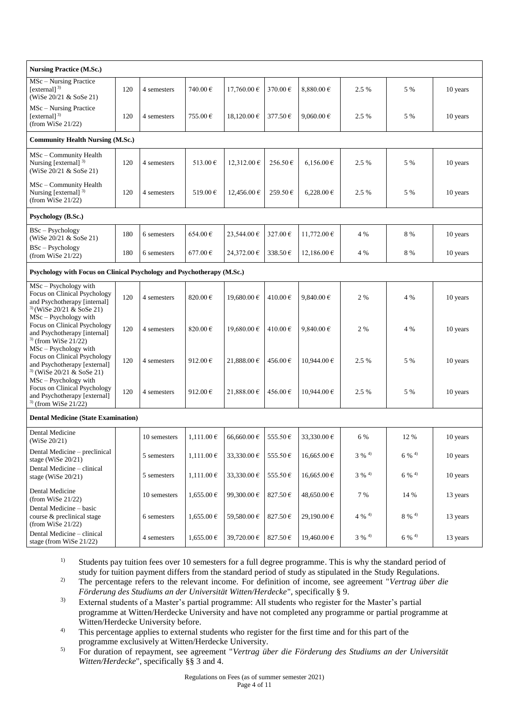| <b>Nursing Practice (M.Sc.)</b>                                                                                        |     |              |                |                 |                      |                    |                     |                     |          |
|------------------------------------------------------------------------------------------------------------------------|-----|--------------|----------------|-----------------|----------------------|--------------------|---------------------|---------------------|----------|
| MSc – Nursing Practice<br>[external] $^{3)}$<br>(WiSe 20/21 & SoSe 21)                                                 | 120 | 4 semesters  | 740.00€        | 17,760.00 €     | 370.00€              | $8,880.00 \in$     | 2.5 %               | 5 %                 | 10 years |
| MSc – Nursing Practice<br>[external] $^{3)}$<br>(from WiSe $21/22$ )                                                   | 120 | 4 semesters  | 755.00 €       | $18,120.00 \in$ | 377.50€              | 9,060.00 €         | 2.5 %               | 5 %                 | 10 years |
| <b>Community Health Nursing (M.Sc.)</b>                                                                                |     |              |                |                 |                      |                    |                     |                     |          |
| MSc - Community Health<br>Nursing [external] <sup>3)</sup><br>(WiSe 20/21 & SoSe 21)                                   | 120 | 4 semesters  | 513.00€        | $12,312.00 \in$ | 256.50€              | 6,156.00 €         | 2.5 %               | 5 %                 | 10 years |
| MSc - Community Health<br>Nursing [external] $^{3)}$<br>(from WiSe $21/22$ )                                           | 120 | 4 semesters  | 519.00€        | $12,456.00 \in$ | 259.50€              | 6,228.00 €         | 2.5 %               | 5 %                 | 10 years |
| Psychology (B.Sc.)                                                                                                     |     |              |                |                 |                      |                    |                     |                     |          |
| $BSc - Psychology$<br>(WiSe 20/21 & SoSe 21)                                                                           | 180 | 6 semesters  | 654.00 €       | 23,544.00€      | 327.00€              | $11,772.00 \in$    | 4 %                 | 8 %                 | 10 years |
| $BSc - Psychology$<br>(from WiSe 21/22)                                                                                | 180 | 6 semesters  | 677.00€        | $24,372.00 \in$ | 338.50€              | 12,186.00 €        | 4 %                 | 8 %                 | 10 years |
| Psychology with Focus on Clinical Psychology and Psychotherapy (M.Sc.)                                                 |     |              |                |                 |                      |                    |                     |                     |          |
| MSc - Psychology with<br>Focus on Clinical Psychology<br>and Psychotherapy [internal]<br>$^{3}$ (WiSe 20/21 & SoSe 21) | 120 | 4 semesters  | 820.00€        | 19,680.00€      | 410.00€              | 9,840.00 €         | 2%                  | 4 %                 | 10 years |
| $MSc - Psychology$ with<br>Focus on Clinical Psychology<br>and Psychotherapy [internal]<br>$3)$ (from WiSe 21/22)      | 120 | 4 semesters  | 820.00€        | 19,680.00€      | 410.00€              | 9,840.00 €         | 2 %                 | 4 %                 | 10 years |
| $MSc - Psychology$ with<br>Focus on Clinical Psychology<br>and Psychotherapy [external]<br>$3)$ (WiSe 20/21 & SoSe 21) | 120 | 4 semesters  | 912.00€        | 21,888.00 €     | 456.00€              | $10,944.00 \in$    | 2.5 %               | 5 %                 | 10 years |
| $MSc - Psychology$ with<br>Focus on Clinical Psychology<br>and Psychotherapy [external]<br>$3)$ (from WiSe 21/22)      | 120 | 4 semesters  | 912.00€        | 21,888.00€      | 456.00€              | $10,944.00 \in$    | 2.5 %               | 5 %                 | 10 years |
| <b>Dental Medicine (State Examination)</b>                                                                             |     |              |                |                 |                      |                    |                     |                     |          |
| Dental Medicine<br>(WiSe 20/21)                                                                                        |     | 10 semesters | $1,111.00 \in$ | 66,660.00€      | 555.50€              | 33,330.00 €        | 6 %                 | 12 %                | 10 years |
| Dental Medicine – preclinical<br>stage (WiSe 20/21)                                                                    |     | 5 semesters  | 1,111.00€      | 33,330.00 €     | 555.50€              | 16,665.00€         | $3\%$ <sup>4)</sup> | $6\%$ <sup>4)</sup> | 10 years |
| Dental Medicine - clinical<br>stage (WiSe $20/21$ )                                                                    |     | 5 semesters  | 1,111.00€      | 33,330.00 €     | 555.50€              | $16,\!665.00\!\in$ | $3\ \%$ $^{4)}$     | $6\%$ <sup>4)</sup> | 10 years |
| Dental Medicine<br>(from WiSe $21/22$ )                                                                                |     | 10 semesters | 1,655.00€      | 99,300.00€      | 827.50€              | 48,650.00 €        | 7 %                 | 14 %                | 13 years |
| Dental Medicine - basic<br>course & preclinical stage<br>(from WiSe $21/22$ )                                          |     | 6 semesters  | $1,655.00 \in$ | 59,580.00€      | $827.50\,\mathrm{E}$ | 29,190.00€         | $4\%$ <sup>4)</sup> | $8\%$ <sup>4)</sup> | 13 years |
| Dental Medicine - clinical<br>stage (from WiSe 21/22)                                                                  |     | 4 semesters  | 1,655.00€      | 39,720.00 €     | 827.50€              | 19,460.00 €        | $3\%$ <sup>4)</sup> | $6\%$ <sup>4)</sup> | 13 years |

<sup>1)</sup> Students pay tuition fees over 10 semesters for a full degree programme. This is why the standard period of study for tuition payment differs from the standard period of study as stipulated in the Study Regulations.

2) The percentage refers to the relevant income. For definition of income, see agreement "*Vertrag über die Förderung des Studiums an der Universität Witten/Herdecke*", specifically § 9.

3) External students of a Master's partial programme: All students who register for the Master's partial programme at Witten/Herdecke University and have not completed any programme or partial programme at Witten/Herdecke University before.

<sup>4)</sup> This percentage applies to external students who register for the first time and for this part of the programme exclusively at Witten/Herdecke University.

5) For duration of repayment, see agreement "*Vertrag über die Förderung des Studiums an der Universität Witten/Herdecke*", specifically §§ 3 and 4.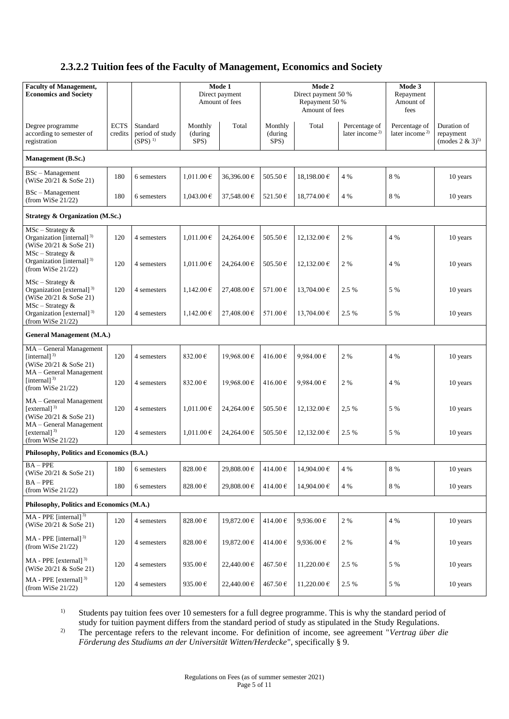# **2.3.2.2 Tuition fees of the Faculty of Management, Economics and Society**

| <b>Faculty of Management,</b>                                                                               |                        |                                            |                            | Mode 1                                                                                      |                            | Mode 2                         |                                             | Mode 3                                      |                                                         |
|-------------------------------------------------------------------------------------------------------------|------------------------|--------------------------------------------|----------------------------|---------------------------------------------------------------------------------------------|----------------------------|--------------------------------|---------------------------------------------|---------------------------------------------|---------------------------------------------------------|
| <b>Economics and Society</b>                                                                                |                        |                                            |                            | Direct payment<br>Direct payment 50 %<br>Amount of fees<br>Repayment 50 %<br>Amount of fees |                            | Repayment<br>Amount of<br>fees |                                             |                                             |                                                         |
| Degree programme<br>according to semester of<br>registration                                                | <b>ECTS</b><br>credits | Standard<br>period of study<br>$(SPS)^{1}$ | Monthly<br>(during<br>SPS) | Total                                                                                       | Monthly<br>(during<br>SPS) | Total                          | Percentage of<br>later income <sup>2)</sup> | Percentage of<br>later income <sup>2)</sup> | Duration of<br>repayment<br>(modes 2 & 3) <sup>5)</sup> |
| Management (B.Sc.)                                                                                          |                        |                                            |                            |                                                                                             |                            |                                |                                             |                                             |                                                         |
| BSc - Management<br>(WiSe 20/21 & SoSe 21)                                                                  | 180                    | 6 semesters                                | $1,011.00 \in$             | 36,396.00€                                                                                  | 505.50€                    | 18,198.00€                     | 4 %                                         | 8 %                                         | 10 years                                                |
| <b>BSc</b> – Management<br>(from WiSe $21/22$ )                                                             | 180                    | 6 semesters                                | $1,043.00 \in$             | $37,548.00 \in$                                                                             | 521.50€                    | $18,774.00 \in$                | 4 %                                         | 8 %                                         | 10 years                                                |
| Strategy & Organization (M.Sc.)                                                                             |                        |                                            |                            |                                                                                             |                            |                                |                                             |                                             |                                                         |
| $MSc - Strategy &$<br>Organization [internal] <sup>3)</sup><br>(WiSe 20/21 & SoSe 21)<br>$MSc - Strategy &$ | 120                    | 4 semesters                                | $1,011.00 \in$             | 24,264.00 €                                                                                 | 505.50€                    | 12,132.00 €                    | 2 %                                         | 4 %                                         | 10 years                                                |
| Organization [internal] <sup>3)</sup><br>(from WiSe $21/22$ )                                               | 120                    | 4 semesters                                | $1,011.00 \in$             | 24,264.00 €                                                                                 | 505.50€                    | $12,132.00 \in$                | 2 %                                         | 4 %                                         | 10 years                                                |
| $MSc - Strategy &$<br>Organization [external] <sup>3)</sup><br>(WiSe 20/21 & SoSe 21)                       | 120                    | 4 semesters                                | $1,142.00 \in$             | 27,408.00€                                                                                  | 571.00€                    | $13,704.00 \in$                | 2.5 %                                       | 5 %                                         | 10 years                                                |
| $MSc - Strategy &$<br>Organization [external] <sup>3)</sup><br>(from WiSe $21/22$ )                         | 120                    | 4 semesters                                | $1,142.00 \in$             | 27,408.00 €                                                                                 | 571.00€                    | $13,704.00 \in$                | 2.5 %                                       | 5 %                                         | 10 years                                                |
| <b>General Management (M.A.)</b>                                                                            |                        |                                            |                            |                                                                                             |                            |                                |                                             |                                             |                                                         |
| MA - General Management<br>[internal] $^{3)}$<br>(WiSe 20/21 & SoSe 21)                                     | 120                    | 4 semesters                                | 832.00€                    | 19,968.00€                                                                                  | 416.00€                    | 9,984.00€                      | 2 %                                         | 4 %                                         | 10 years                                                |
| MA - General Management<br>[internal] $^{3)}$<br>(from WiSe $21/22$ )                                       | 120                    | 4 semesters                                | $832.00 \in$               | 19,968.00 €                                                                                 | 416.00€                    | 9,984.00€                      | 2 %                                         | 4 %                                         | 10 years                                                |
| MA - General Management<br>[external] $^{3)}$<br>(WiSe 20/21 & SoSe 21)                                     | 120                    | 4 semesters                                | $1,011.00 \in$             | 24,264.00 €                                                                                 | 505.50€                    | $12,132.00 \in$                | 2,5 %                                       | 5 %                                         | 10 years                                                |
| MA - General Management<br>[external] $^{3)}$<br>(from WiSe $21/22$ )                                       | 120                    | 4 semesters                                | 1,011.00 €                 | 24.264.00 €                                                                                 | 505.50€                    | 12,132.00 €                    | 2.5 %                                       | 5 %                                         | 10 years                                                |
| Philosophy, Politics and Economics (B.A.)                                                                   |                        |                                            |                            |                                                                                             |                            |                                |                                             |                                             |                                                         |
| $BA - PPE$<br>(WiSe 20/21 & SoSe 21)                                                                        | 180                    | 6 semesters                                | 828.00 $\in$               | 29,808.00 €                                                                                 | 414.00€                    | 14,904.00€                     | 4 %                                         | $8\ \%$                                     | 10 years                                                |
| $BA - PPE$<br>(from WiSe 21/22)                                                                             | 180                    | 6 semesters                                | 828.00€                    | 29,808.00 €                                                                                 | $414.00 \in$               | 14,904.00 €                    | 4 %                                         | 8 %                                         | 10 years                                                |
| Philosophy, Politics and Economics (M.A.)                                                                   |                        |                                            |                            |                                                                                             |                            |                                |                                             |                                             |                                                         |
| MA - PPE [internal] <sup>3)</sup><br>(WiSe 20/21 & SoSe 21)                                                 | 120                    | 4 semesters                                | $828.00\in$                | 19,872.00 €                                                                                 | $414.00\,\mathrm{E}$       | 9,936.00€                      | $2 \ \%$                                    | 4 %                                         | 10 years                                                |
| $MA$ - PPE [internal] <sup>3)</sup><br>(from WiSe $21/22$ )                                                 | 120                    | 4 semesters                                | 828.00€                    | 19,872.00 €                                                                                 | $414.00 \in$               | 9,936.00€                      | 2 %                                         | 4 %                                         | 10 years                                                |
| $MA$ - PPE [external] <sup>3)</sup><br>(WiSe 20/21 & SoSe 21)                                               | 120                    | 4 semesters                                | 935.00€                    | 22,440.00 €                                                                                 | 467.50€                    | 11,220.00€                     | 2.5 %                                       | 5 %                                         | 10 years                                                |
| $MA$ - PPE [external] <sup>3)</sup><br>(from WiSe $21/22$ )                                                 | 120                    | 4 semesters                                | 935.00€                    | 22,440.00 €                                                                                 | 467.50€                    | $11,220.00 \in$                | 2.5 %                                       | 5 %                                         | 10 years                                                |

<sup>1)</sup> Students pay tuition fees over 10 semesters for a full degree programme. This is why the standard period of study for tuition payment differs from the standard period of study as stipulated in the Study Regulations.

2) The percentage refers to the relevant income. For definition of income, see agreement "*Vertrag über die Förderung des Studiums an der Universität Witten/Herdecke*", specifically § 9.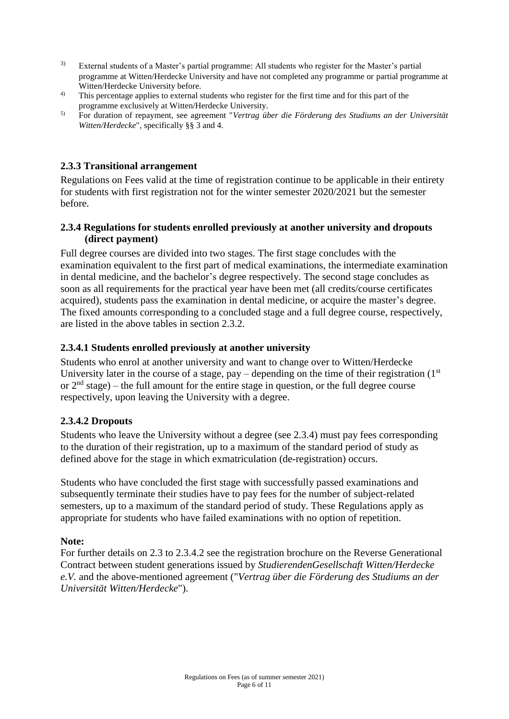- 3) External students of a Master's partial programme: All students who register for the Master's partial programme at Witten/Herdecke University and have not completed any programme or partial programme at Witten/Herdecke University before.
- <sup>4)</sup> This percentage applies to external students who register for the first time and for this part of the programme exclusively at Witten/Herdecke University.
- 5) For duration of repayment, see agreement "*Vertrag über die Förderung des Studiums an der Universität Witten/Herdecke*", specifically §§ 3 and 4.

# **2.3.3 Transitional arrangement**

Regulations on Fees valid at the time of registration continue to be applicable in their entirety for students with first registration not for the winter semester 2020/2021 but the semester before.

## **2.3.4 Regulations for students enrolled previously at another university and dropouts (direct payment)**

Full degree courses are divided into two stages. The first stage concludes with the examination equivalent to the first part of medical examinations, the intermediate examination in dental medicine, and the bachelor's degree respectively. The second stage concludes as soon as all requirements for the practical year have been met (all credits/course certificates acquired), students pass the examination in dental medicine, or acquire the master's degree. The fixed amounts corresponding to a concluded stage and a full degree course, respectively, are listed in the above tables in section 2.3.2.

## **2.3.4.1 Students enrolled previously at another university**

Students who enrol at another university and want to change over to Witten/Herdecke University later in the course of a stage, pay – depending on the time of their registration  $(1<sup>st</sup>)$ or  $2<sup>nd</sup> stage)$  – the full amount for the entire stage in question, or the full degree course respectively, upon leaving the University with a degree.

#### **2.3.4.2 Dropouts**

Students who leave the University without a degree (see 2.3.4) must pay fees corresponding to the duration of their registration, up to a maximum of the standard period of study as defined above for the stage in which exmatriculation (de-registration) occurs.

Students who have concluded the first stage with successfully passed examinations and subsequently terminate their studies have to pay fees for the number of subject-related semesters, up to a maximum of the standard period of study. These Regulations apply as appropriate for students who have failed examinations with no option of repetition.

#### **Note:**

For further details on 2.3 to 2.3.4.2 see the registration brochure on the Reverse Generational Contract between student generations issued by *StudierendenGesellschaft Witten/Herdecke e.V.* and the above-mentioned agreement ("*Vertrag über die Förderung des Studiums an der Universität Witten/Herdecke*").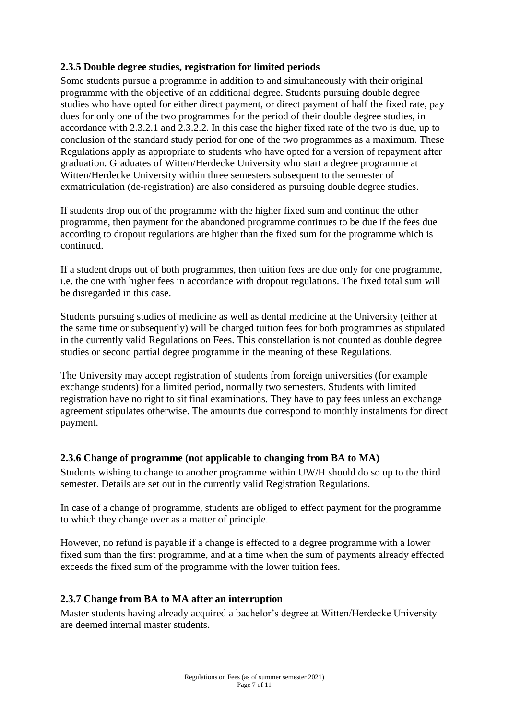# **2.3.5 Double degree studies, registration for limited periods**

Some students pursue a programme in addition to and simultaneously with their original programme with the objective of an additional degree. Students pursuing double degree studies who have opted for either direct payment, or direct payment of half the fixed rate, pay dues for only one of the two programmes for the period of their double degree studies, in accordance with 2.3.2.1 and 2.3.2.2. In this case the higher fixed rate of the two is due, up to conclusion of the standard study period for one of the two programmes as a maximum. These Regulations apply as appropriate to students who have opted for a version of repayment after graduation. Graduates of Witten/Herdecke University who start a degree programme at Witten/Herdecke University within three semesters subsequent to the semester of exmatriculation (de-registration) are also considered as pursuing double degree studies.

If students drop out of the programme with the higher fixed sum and continue the other programme, then payment for the abandoned programme continues to be due if the fees due according to dropout regulations are higher than the fixed sum for the programme which is continued.

If a student drops out of both programmes, then tuition fees are due only for one programme, i.e. the one with higher fees in accordance with dropout regulations. The fixed total sum will be disregarded in this case.

Students pursuing studies of medicine as well as dental medicine at the University (either at the same time or subsequently) will be charged tuition fees for both programmes as stipulated in the currently valid Regulations on Fees. This constellation is not counted as double degree studies or second partial degree programme in the meaning of these Regulations.

The University may accept registration of students from foreign universities (for example exchange students) for a limited period, normally two semesters. Students with limited registration have no right to sit final examinations. They have to pay fees unless an exchange agreement stipulates otherwise. The amounts due correspond to monthly instalments for direct payment.

# **2.3.6 Change of programme (not applicable to changing from BA to MA)**

Students wishing to change to another programme within UW/H should do so up to the third semester. Details are set out in the currently valid Registration Regulations.

In case of a change of programme, students are obliged to effect payment for the programme to which they change over as a matter of principle.

However, no refund is payable if a change is effected to a degree programme with a lower fixed sum than the first programme, and at a time when the sum of payments already effected exceeds the fixed sum of the programme with the lower tuition fees.

# **2.3.7 Change from BA to MA after an interruption**

Master students having already acquired a bachelor's degree at Witten/Herdecke University are deemed internal master students.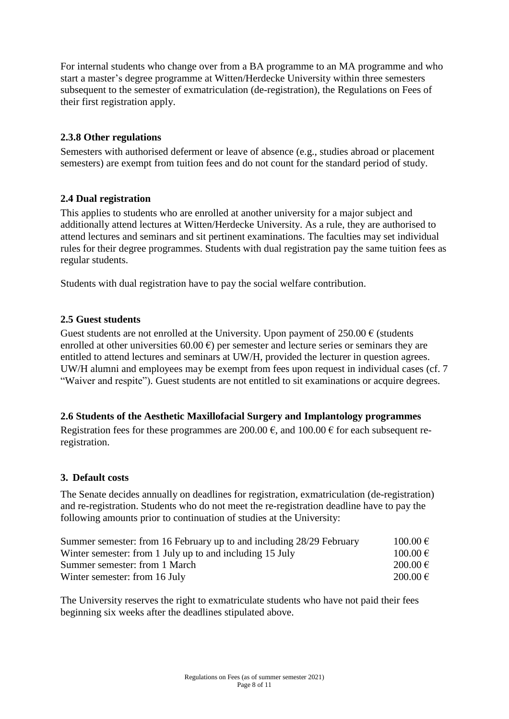For internal students who change over from a BA programme to an MA programme and who start a master's degree programme at Witten/Herdecke University within three semesters subsequent to the semester of exmatriculation (de-registration), the Regulations on Fees of their first registration apply.

# **2.3.8 Other regulations**

Semesters with authorised deferment or leave of absence (e.g., studies abroad or placement semesters) are exempt from tuition fees and do not count for the standard period of study.

## **2.4 Dual registration**

This applies to students who are enrolled at another university for a major subject and additionally attend lectures at Witten/Herdecke University. As a rule, they are authorised to attend lectures and seminars and sit pertinent examinations. The faculties may set individual rules for their degree programmes. Students with dual registration pay the same tuition fees as regular students.

Students with dual registration have to pay the social welfare contribution.

# **2.5 Guest students**

Guest students are not enrolled at the University. Upon payment of  $250.00 \in$  (students enrolled at other universities  $60.00 \text{ } \epsilon$ ) per semester and lecture series or seminars they are entitled to attend lectures and seminars at UW/H, provided the lecturer in question agrees. UW/H alumni and employees may be exempt from fees upon request in individual cases (cf. 7 "Waiver and respite"). Guest students are not entitled to sit examinations or acquire degrees.

# **2.6 Students of the Aesthetic Maxillofacial Surgery and Implantology programmes**

Registration fees for these programmes are 200.00  $\epsilon$ , and 100.00  $\epsilon$  for each subsequent reregistration.

#### **3. Default costs**

The Senate decides annually on deadlines for registration, exmatriculation (de-registration) and re-registration. Students who do not meet the re-registration deadline have to pay the following amounts prior to continuation of studies at the University:

| Summer semester: from 16 February up to and including 28/29 February | $100.00 \in$ |
|----------------------------------------------------------------------|--------------|
| Winter semester: from 1 July up to and including 15 July             | $100.00 \in$ |
| Summer semester: from 1 March                                        | $200.00 \in$ |
| Winter semester: from 16 July                                        | $200.00 \in$ |

The University reserves the right to exmatriculate students who have not paid their fees beginning six weeks after the deadlines stipulated above.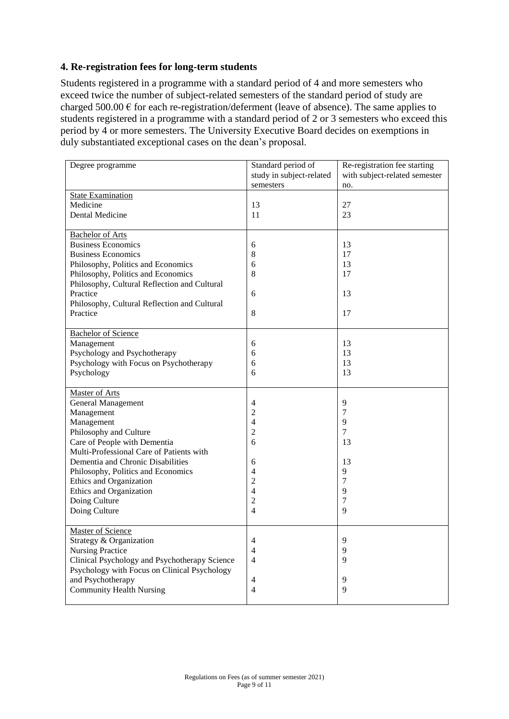## **4. Re-registration fees for long-term students**

Students registered in a programme with a standard period of 4 and more semesters who exceed twice the number of subject-related semesters of the standard period of study are charged 500.00  $\epsilon$  for each re-registration/deferment (leave of absence). The same applies to students registered in a programme with a standard period of 2 or 3 semesters who exceed this period by 4 or more semesters. The University Executive Board decides on exemptions in duly substantiated exceptional cases on the dean's proposal.

| Degree programme                              | Standard period of       | Re-registration fee starting  |
|-----------------------------------------------|--------------------------|-------------------------------|
|                                               | study in subject-related | with subject-related semester |
|                                               | semesters                | no.                           |
| <b>State Examination</b>                      |                          |                               |
| Medicine                                      | 13                       | 27                            |
| Dental Medicine                               | 11                       | 23                            |
|                                               |                          |                               |
| <b>Bachelor of Arts</b>                       |                          |                               |
| <b>Business Economics</b>                     | 6                        | 13                            |
| <b>Business Economics</b>                     | 8                        | 17                            |
| Philosophy, Politics and Economics            | 6                        | 13                            |
| Philosophy, Politics and Economics            | 8                        | 17                            |
| Philosophy, Cultural Reflection and Cultural  |                          |                               |
| Practice                                      | 6                        | 13                            |
| Philosophy, Cultural Reflection and Cultural  |                          |                               |
| Practice                                      | 8                        | 17                            |
|                                               |                          |                               |
| <b>Bachelor of Science</b>                    |                          |                               |
| Management                                    | 6                        | 13                            |
| Psychology and Psychotherapy                  | 6                        | 13                            |
| Psychology with Focus on Psychotherapy        | 6                        | 13                            |
| Psychology                                    | 6                        | 13                            |
|                                               |                          |                               |
| Master of Arts                                |                          |                               |
| <b>General Management</b>                     | 4                        | 9                             |
| Management                                    | $\overline{2}$           | 7                             |
| Management                                    | $\overline{4}$           | 9                             |
| Philosophy and Culture                        | $\overline{2}$           | 7                             |
| Care of People with Dementia                  | 6                        | 13                            |
| Multi-Professional Care of Patients with      |                          |                               |
| Dementia and Chronic Disabilities             | 6                        | 13                            |
| Philosophy, Politics and Economics            | $\overline{4}$           | 9                             |
| Ethics and Organization                       | $\overline{2}$           | 7                             |
| Ethics and Organization                       | $\overline{4}$           | 9                             |
| Doing Culture                                 | $\overline{2}$           | 7                             |
| Doing Culture                                 | $\overline{4}$           | 9                             |
|                                               |                          |                               |
| <b>Master of Science</b>                      |                          |                               |
| Strategy & Organization                       | $\overline{4}$           | 9                             |
| <b>Nursing Practice</b>                       | $\overline{4}$           | 9                             |
| Clinical Psychology and Psychotherapy Science | $\overline{4}$           | 9                             |
| Psychology with Focus on Clinical Psychology  |                          |                               |
| and Psychotherapy                             | 4                        | 9                             |
| <b>Community Health Nursing</b>               | 4                        | 9                             |
|                                               |                          |                               |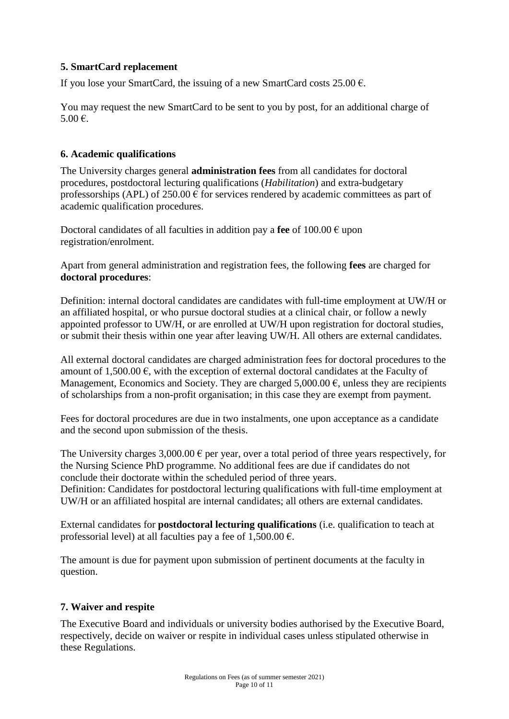# **5. SmartCard replacement**

If you lose your SmartCard, the issuing of a new SmartCard costs  $25.00 \in$ .

You may request the new SmartCard to be sent to you by post, for an additional charge of 5.00 €.

## **6. Academic qualifications**

The University charges general **administration fees** from all candidates for doctoral procedures, postdoctoral lecturing qualifications (*Habilitation*) and extra-budgetary professorships (APL) of 250.00  $\epsilon$  for services rendered by academic committees as part of academic qualification procedures.

Doctoral candidates of all faculties in addition pay a **fee** of  $100.00 \in \text{upon}$ registration/enrolment.

Apart from general administration and registration fees, the following **fees** are charged for **doctoral procedures**:

Definition: internal doctoral candidates are candidates with full-time employment at UW/H or an affiliated hospital, or who pursue doctoral studies at a clinical chair, or follow a newly appointed professor to UW/H, or are enrolled at UW/H upon registration for doctoral studies, or submit their thesis within one year after leaving UW/H. All others are external candidates.

All external doctoral candidates are charged administration fees for doctoral procedures to the amount of 1,500,00  $\epsilon$ , with the exception of external doctoral candidates at the Faculty of Management, Economics and Society. They are charged 5,000.00  $\epsilon$ , unless they are recipients of scholarships from a non-profit organisation; in this case they are exempt from payment.

Fees for doctoral procedures are due in two instalments, one upon acceptance as a candidate and the second upon submission of the thesis.

The University charges  $3,000.00 \in$  per year, over a total period of three years respectively, for the Nursing Science PhD programme. No additional fees are due if candidates do not conclude their doctorate within the scheduled period of three years. Definition: Candidates for postdoctoral lecturing qualifications with full-time employment at UW/H or an affiliated hospital are internal candidates; all others are external candidates.

External candidates for **postdoctoral lecturing qualifications** (i.e. qualification to teach at professorial level) at all faculties pay a fee of  $1,500.00 \in$ .

The amount is due for payment upon submission of pertinent documents at the faculty in question.

# **7. Waiver and respite**

The Executive Board and individuals or university bodies authorised by the Executive Board, respectively, decide on waiver or respite in individual cases unless stipulated otherwise in these Regulations.